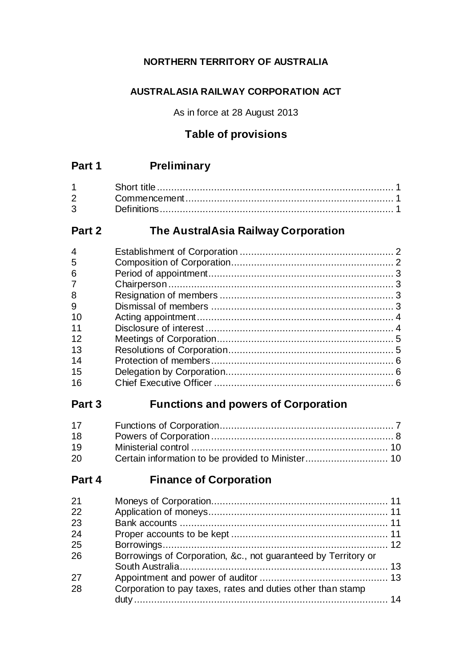# **NORTHERN TERRITORY OF AUSTRALIA**

# **AUSTRALASIA RAILWAY CORPORATION ACT**

As in force at 28 August 2013

# **Table of provisions**

# **Part 1 Preliminary**

| $2^{\sim}$  |  |
|-------------|--|
| $3^{\circ}$ |  |

# **Part 2 The AustralAsia Railway Corporation**

# **Part 3 Functions and powers of Corporation**

| 17 |  |
|----|--|
| 18 |  |
| 19 |  |
| 20 |  |

# **Part 4 Finance of Corporation**

| Borrowings of Corporation, &c., not guaranteed by Territory or |  |
|----------------------------------------------------------------|--|
|                                                                |  |
|                                                                |  |
| Corporation to pay taxes, rates and duties other than stamp    |  |
|                                                                |  |
|                                                                |  |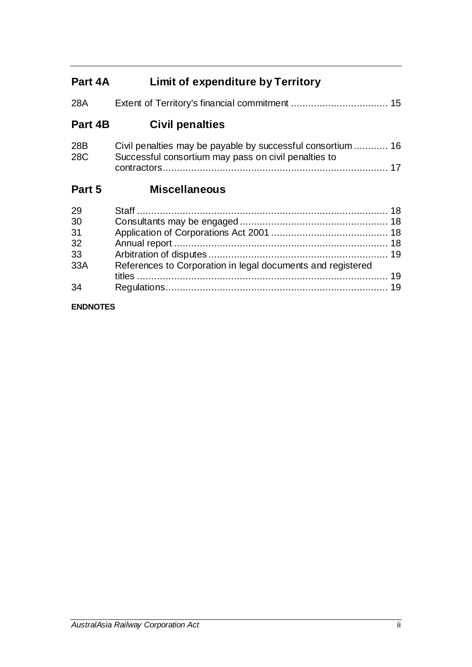# **Part 4A Limit of expenditure by Territory**

| 28A     |                                                             |  |
|---------|-------------------------------------------------------------|--|
| Part 4B | <b>Civil penalties</b>                                      |  |
| 28B     | Civil penalties may be payable by successful consortium  16 |  |

| 28C | Successful consortium may pass on civil penalties to |  |
|-----|------------------------------------------------------|--|
|     |                                                      |  |

# **Part 5 Miscellaneous**

| 29  |                                                             |  |
|-----|-------------------------------------------------------------|--|
| 30  |                                                             |  |
| 31  |                                                             |  |
| 32  |                                                             |  |
| 33  |                                                             |  |
| 33A | References to Corporation in legal documents and registered |  |
|     |                                                             |  |
| 34  |                                                             |  |

## **ENDNOTES**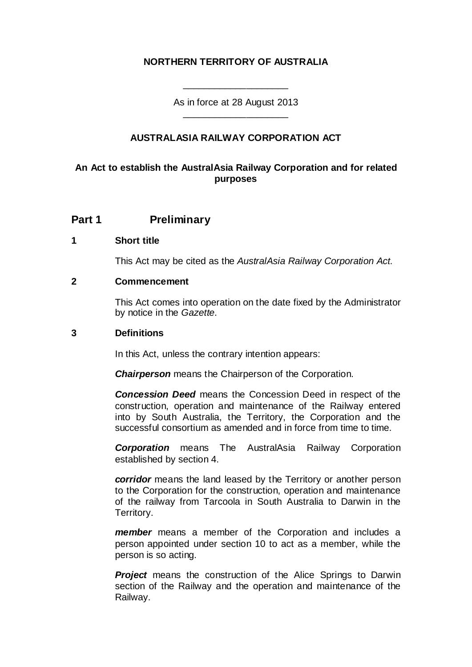## **NORTHERN TERRITORY OF AUSTRALIA**

As in force at 28 August 2013 \_\_\_\_\_\_\_\_\_\_\_\_\_\_\_\_\_\_\_\_

\_\_\_\_\_\_\_\_\_\_\_\_\_\_\_\_\_\_\_\_

## **AUSTRALASIA RAILWAY CORPORATION ACT**

## **An Act to establish the AustralAsia Railway Corporation and for related purposes**

## **Part 1 Preliminary**

#### **1 Short title**

This Act may be cited as the *AustralAsia Railway Corporation Act*.

#### **2 Commencement**

This Act comes into operation on the date fixed by the Administrator by notice in the *Gazette*.

#### **3 Definitions**

In this Act, unless the contrary intention appears:

*Chairperson* means the Chairperson of the Corporation.

*Concession Deed* means the Concession Deed in respect of the construction, operation and maintenance of the Railway entered into by South Australia, the Territory, the Corporation and the successful consortium as amended and in force from time to time.

*Corporation* means The AustralAsia Railway Corporation established by section 4.

*corridor* means the land leased by the Territory or another person to the Corporation for the construction, operation and maintenance of the railway from Tarcoola in South Australia to Darwin in the Territory.

*member* means a member of the Corporation and includes a person appointed under section 10 to act as a member, while the person is so acting.

**Project** means the construction of the Alice Springs to Darwin section of the Railway and the operation and maintenance of the Railway.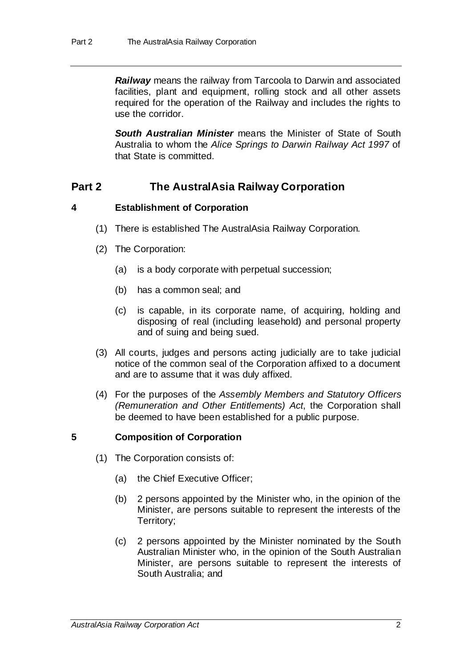*Railway* means the railway from Tarcoola to Darwin and associated facilities, plant and equipment, rolling stock and all other assets required for the operation of the Railway and includes the rights to use the corridor.

**South Australian Minister** means the Minister of State of South Australia to whom the *Alice Springs to Darwin Railway Act 1997* of that State is committed.

# **Part 2 The AustralAsia Railway Corporation**

## **4 Establishment of Corporation**

- (1) There is established The AustralAsia Railway Corporation.
- (2) The Corporation:
	- (a) is a body corporate with perpetual succession;
	- (b) has a common seal; and
	- (c) is capable, in its corporate name, of acquiring, holding and disposing of real (including leasehold) and personal property and of suing and being sued.
- (3) All courts, judges and persons acting judicially are to take judicial notice of the common seal of the Corporation affixed to a document and are to assume that it was duly affixed.
- (4) For the purposes of the *Assembly Members and Statutory Officers (Remuneration and Other Entitlements) Act*, the Corporation shall be deemed to have been established for a public purpose.

## **5 Composition of Corporation**

- (1) The Corporation consists of:
	- (a) the Chief Executive Officer;
	- (b) 2 persons appointed by the Minister who, in the opinion of the Minister, are persons suitable to represent the interests of the Territory;
	- (c) 2 persons appointed by the Minister nominated by the South Australian Minister who, in the opinion of the South Australian Minister, are persons suitable to represent the interests of South Australia; and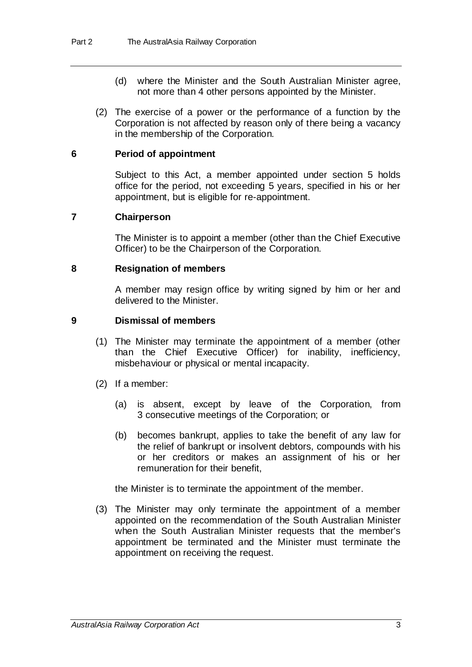- (d) where the Minister and the South Australian Minister agree, not more than 4 other persons appointed by the Minister.
- (2) The exercise of a power or the performance of a function by the Corporation is not affected by reason only of there being a vacancy in the membership of the Corporation.

#### **6 Period of appointment**

Subject to this Act, a member appointed under section 5 holds office for the period, not exceeding 5 years, specified in his or her appointment, but is eligible for re-appointment.

#### **7 Chairperson**

The Minister is to appoint a member (other than the Chief Executive Officer) to be the Chairperson of the Corporation.

#### **8 Resignation of members**

A member may resign office by writing signed by him or her and delivered to the Minister.

#### **9 Dismissal of members**

- (1) The Minister may terminate the appointment of a member (other than the Chief Executive Officer) for inability, inefficiency, misbehaviour or physical or mental incapacity.
- (2) If a member:
	- (a) is absent, except by leave of the Corporation, from 3 consecutive meetings of the Corporation; or
	- (b) becomes bankrupt, applies to take the benefit of any law for the relief of bankrupt or insolvent debtors, compounds with his or her creditors or makes an assignment of his or her remuneration for their benefit,

the Minister is to terminate the appointment of the member.

(3) The Minister may only terminate the appointment of a member appointed on the recommendation of the South Australian Minister when the South Australian Minister requests that the member's appointment be terminated and the Minister must terminate the appointment on receiving the request.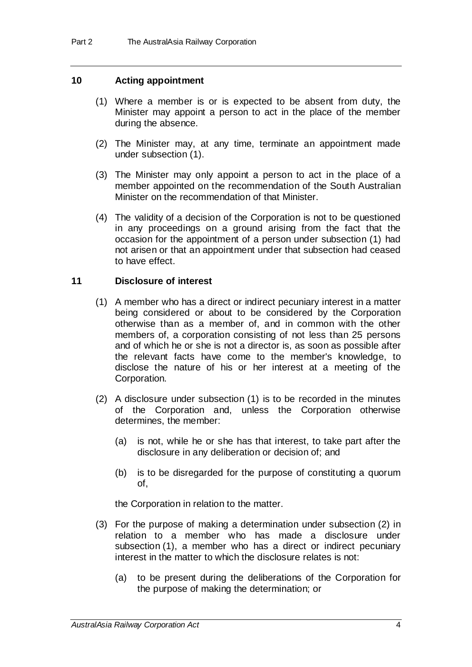#### **10 Acting appointment**

- (1) Where a member is or is expected to be absent from duty, the Minister may appoint a person to act in the place of the member during the absence.
- (2) The Minister may, at any time, terminate an appointment made under subsection (1).
- (3) The Minister may only appoint a person to act in the place of a member appointed on the recommendation of the South Australian Minister on the recommendation of that Minister.
- (4) The validity of a decision of the Corporation is not to be questioned in any proceedings on a ground arising from the fact that the occasion for the appointment of a person under subsection (1) had not arisen or that an appointment under that subsection had ceased to have effect.

#### **11 Disclosure of interest**

- (1) A member who has a direct or indirect pecuniary interest in a matter being considered or about to be considered by the Corporation otherwise than as a member of, and in common with the other members of, a corporation consisting of not less than 25 persons and of which he or she is not a director is, as soon as possible after the relevant facts have come to the member's knowledge, to disclose the nature of his or her interest at a meeting of the Corporation.
- (2) A disclosure under subsection (1) is to be recorded in the minutes of the Corporation and, unless the Corporation otherwise determines, the member:
	- (a) is not, while he or she has that interest, to take part after the disclosure in any deliberation or decision of; and
	- (b) is to be disregarded for the purpose of constituting a quorum of,

the Corporation in relation to the matter.

- (3) For the purpose of making a determination under subsection (2) in relation to a member who has made a disclosure under subsection (1), a member who has a direct or indirect pecuniary interest in the matter to which the disclosure relates is not:
	- (a) to be present during the deliberations of the Corporation for the purpose of making the determination; or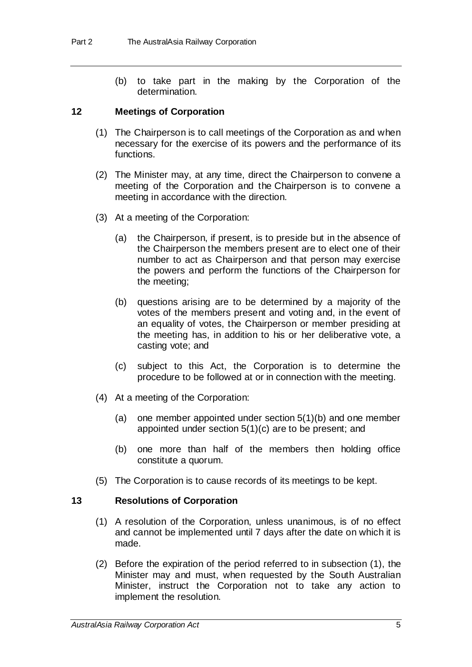(b) to take part in the making by the Corporation of the determination.

#### **12 Meetings of Corporation**

- (1) The Chairperson is to call meetings of the Corporation as and when necessary for the exercise of its powers and the performance of its functions.
- (2) The Minister may, at any time, direct the Chairperson to convene a meeting of the Corporation and the Chairperson is to convene a meeting in accordance with the direction.
- (3) At a meeting of the Corporation:
	- (a) the Chairperson, if present, is to preside but in the absence of the Chairperson the members present are to elect one of their number to act as Chairperson and that person may exercise the powers and perform the functions of the Chairperson for the meeting;
	- (b) questions arising are to be determined by a majority of the votes of the members present and voting and, in the event of an equality of votes, the Chairperson or member presiding at the meeting has, in addition to his or her deliberative vote, a casting vote; and
	- (c) subject to this Act, the Corporation is to determine the procedure to be followed at or in connection with the meeting.
- (4) At a meeting of the Corporation:
	- (a) one member appointed under section 5(1)(b) and one member appointed under section 5(1)(c) are to be present; and
	- (b) one more than half of the members then holding office constitute a quorum.
- (5) The Corporation is to cause records of its meetings to be kept.

## **13 Resolutions of Corporation**

- (1) A resolution of the Corporation, unless unanimous, is of no effect and cannot be implemented until 7 days after the date on which it is made.
- (2) Before the expiration of the period referred to in subsection (1), the Minister may and must, when requested by the South Australian Minister, instruct the Corporation not to take any action to implement the resolution.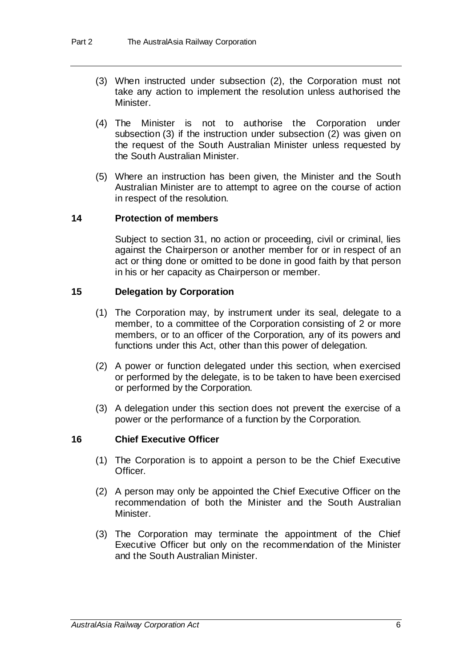- (3) When instructed under subsection (2), the Corporation must not take any action to implement the resolution unless authorised the Minister.
- (4) The Minister is not to authorise the Corporation under subsection (3) if the instruction under subsection (2) was given on the request of the South Australian Minister unless requested by the South Australian Minister.
- (5) Where an instruction has been given, the Minister and the South Australian Minister are to attempt to agree on the course of action in respect of the resolution.

## **14 Protection of members**

Subject to section 31, no action or proceeding, civil or criminal, lies against the Chairperson or another member for or in respect of an act or thing done or omitted to be done in good faith by that person in his or her capacity as Chairperson or member.

## **15 Delegation by Corporation**

- (1) The Corporation may, by instrument under its seal, delegate to a member, to a committee of the Corporation consisting of 2 or more members, or to an officer of the Corporation, any of its powers and functions under this Act, other than this power of delegation.
- (2) A power or function delegated under this section, when exercised or performed by the delegate, is to be taken to have been exercised or performed by the Corporation.
- (3) A delegation under this section does not prevent the exercise of a power or the performance of a function by the Corporation.

## **16 Chief Executive Officer**

- (1) The Corporation is to appoint a person to be the Chief Executive Officer.
- (2) A person may only be appointed the Chief Executive Officer on the recommendation of both the Minister and the South Australian Minister.
- (3) The Corporation may terminate the appointment of the Chief Executive Officer but only on the recommendation of the Minister and the South Australian Minister.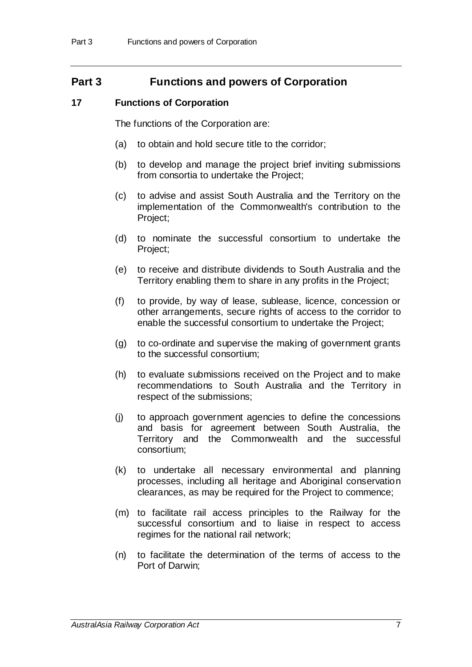# **Part 3 Functions and powers of Corporation**

## **17 Functions of Corporation**

The functions of the Corporation are:

- (a) to obtain and hold secure title to the corridor;
- (b) to develop and manage the project brief inviting submissions from consortia to undertake the Project;
- (c) to advise and assist South Australia and the Territory on the implementation of the Commonwealth's contribution to the Project;
- (d) to nominate the successful consortium to undertake the Project;
- (e) to receive and distribute dividends to South Australia and the Territory enabling them to share in any profits in the Project;
- (f) to provide, by way of lease, sublease, licence, concession or other arrangements, secure rights of access to the corridor to enable the successful consortium to undertake the Project;
- (g) to co-ordinate and supervise the making of government grants to the successful consortium;
- (h) to evaluate submissions received on the Project and to make recommendations to South Australia and the Territory in respect of the submissions;
- (j) to approach government agencies to define the concessions and basis for agreement between South Australia, the Territory and the Commonwealth and the successful consortium;
- (k) to undertake all necessary environmental and planning processes, including all heritage and Aboriginal conservation clearances, as may be required for the Project to commence;
- (m) to facilitate rail access principles to the Railway for the successful consortium and to liaise in respect to access regimes for the national rail network;
- (n) to facilitate the determination of the terms of access to the Port of Darwin;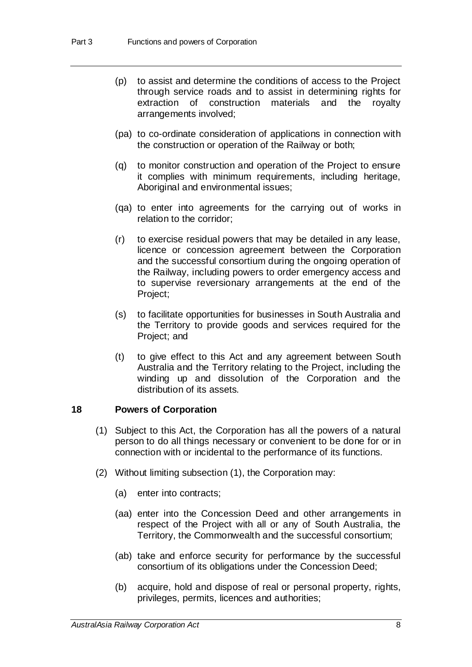- (p) to assist and determine the conditions of access to the Project through service roads and to assist in determining rights for extraction of construction materials and the royalty arrangements involved;
- (pa) to co-ordinate consideration of applications in connection with the construction or operation of the Railway or both;
- (q) to monitor construction and operation of the Project to ensure it complies with minimum requirements, including heritage, Aboriginal and environmental issues;
- (qa) to enter into agreements for the carrying out of works in relation to the corridor;
- (r) to exercise residual powers that may be detailed in any lease, licence or concession agreement between the Corporation and the successful consortium during the ongoing operation of the Railway, including powers to order emergency access and to supervise reversionary arrangements at the end of the Project;
- (s) to facilitate opportunities for businesses in South Australia and the Territory to provide goods and services required for the Project; and
- (t) to give effect to this Act and any agreement between South Australia and the Territory relating to the Project, including the winding up and dissolution of the Corporation and the distribution of its assets.

## **18 Powers of Corporation**

- (1) Subject to this Act, the Corporation has all the powers of a natural person to do all things necessary or convenient to be done for or in connection with or incidental to the performance of its functions.
- (2) Without limiting subsection (1), the Corporation may:
	- (a) enter into contracts;
	- (aa) enter into the Concession Deed and other arrangements in respect of the Project with all or any of South Australia, the Territory, the Commonwealth and the successful consortium;
	- (ab) take and enforce security for performance by the successful consortium of its obligations under the Concession Deed;
	- (b) acquire, hold and dispose of real or personal property, rights, privileges, permits, licences and authorities;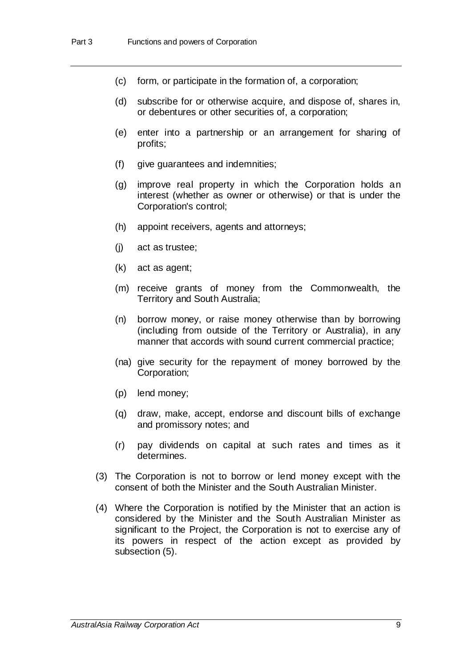- (c) form, or participate in the formation of, a corporation;
- (d) subscribe for or otherwise acquire, and dispose of, shares in, or debentures or other securities of, a corporation;
- (e) enter into a partnership or an arrangement for sharing of profits;
- (f) give guarantees and indemnities;
- (g) improve real property in which the Corporation holds an interest (whether as owner or otherwise) or that is under the Corporation's control;
- (h) appoint receivers, agents and attorneys;
- (j) act as trustee;
- (k) act as agent;
- (m) receive grants of money from the Commonwealth, the Territory and South Australia;
- (n) borrow money, or raise money otherwise than by borrowing (including from outside of the Territory or Australia), in any manner that accords with sound current commercial practice;
- (na) give security for the repayment of money borrowed by the Corporation;
- (p) lend money;
- (q) draw, make, accept, endorse and discount bills of exchange and promissory notes; and
- (r) pay dividends on capital at such rates and times as it determines.
- (3) The Corporation is not to borrow or lend money except with the consent of both the Minister and the South Australian Minister.
- (4) Where the Corporation is notified by the Minister that an action is considered by the Minister and the South Australian Minister as significant to the Project, the Corporation is not to exercise any of its powers in respect of the action except as provided by subsection (5).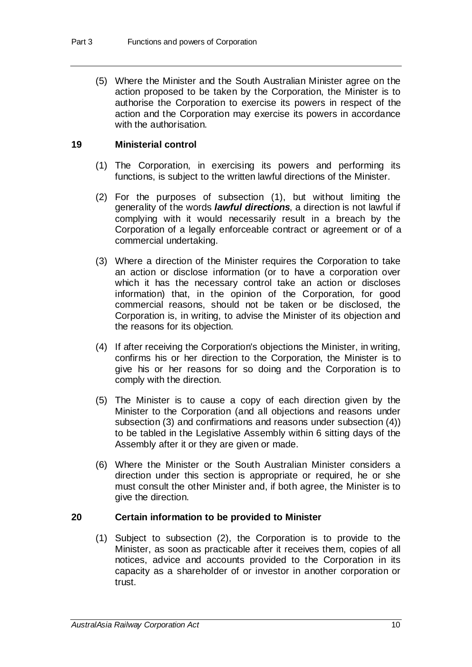(5) Where the Minister and the South Australian Minister agree on the action proposed to be taken by the Corporation, the Minister is to authorise the Corporation to exercise its powers in respect of the action and the Corporation may exercise its powers in accordance with the authorisation.

#### **19 Ministerial control**

- (1) The Corporation, in exercising its powers and performing its functions, is subject to the written lawful directions of the Minister.
- (2) For the purposes of subsection (1), but without limiting the generality of the words *lawful directions*, a direction is not lawful if complying with it would necessarily result in a breach by the Corporation of a legally enforceable contract or agreement or of a commercial undertaking.
- (3) Where a direction of the Minister requires the Corporation to take an action or disclose information (or to have a corporation over which it has the necessary control take an action or discloses information) that, in the opinion of the Corporation, for good commercial reasons, should not be taken or be disclosed, the Corporation is, in writing, to advise the Minister of its objection and the reasons for its objection.
- (4) If after receiving the Corporation's objections the Minister, in writing, confirms his or her direction to the Corporation, the Minister is to give his or her reasons for so doing and the Corporation is to comply with the direction.
- (5) The Minister is to cause a copy of each direction given by the Minister to the Corporation (and all objections and reasons under subsection (3) and confirmations and reasons under subsection (4)) to be tabled in the Legislative Assembly within 6 sitting days of the Assembly after it or they are given or made.
- (6) Where the Minister or the South Australian Minister considers a direction under this section is appropriate or required, he or she must consult the other Minister and, if both agree, the Minister is to give the direction.

#### **20 Certain information to be provided to Minister**

(1) Subject to subsection (2), the Corporation is to provide to the Minister, as soon as practicable after it receives them, copies of all notices, advice and accounts provided to the Corporation in its capacity as a shareholder of or investor in another corporation or trust.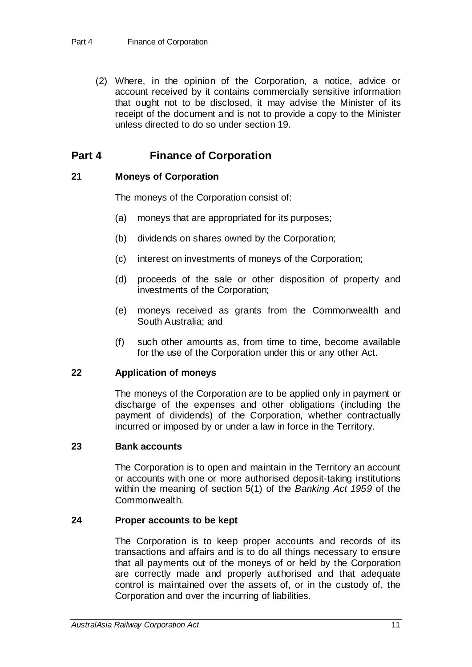(2) Where, in the opinion of the Corporation, a notice, advice or account received by it contains commercially sensitive information that ought not to be disclosed, it may advise the Minister of its receipt of the document and is not to provide a copy to the Minister unless directed to do so under section 19.

# **Part 4 Finance of Corporation**

## **21 Moneys of Corporation**

The moneys of the Corporation consist of:

- (a) moneys that are appropriated for its purposes;
- (b) dividends on shares owned by the Corporation;
- (c) interest on investments of moneys of the Corporation;
- (d) proceeds of the sale or other disposition of property and investments of the Corporation;
- (e) moneys received as grants from the Commonwealth and South Australia; and
- (f) such other amounts as, from time to time, become available for the use of the Corporation under this or any other Act.

## **22 Application of moneys**

The moneys of the Corporation are to be applied only in payment or discharge of the expenses and other obligations (including the payment of dividends) of the Corporation, whether contractually incurred or imposed by or under a law in force in the Territory.

## **23 Bank accounts**

The Corporation is to open and maintain in the Territory an account or accounts with one or more authorised deposit-taking institutions within the meaning of section 5(1) of the *Banking Act 1959* of the Commonwealth.

## **24 Proper accounts to be kept**

The Corporation is to keep proper accounts and records of its transactions and affairs and is to do all things necessary to ensure that all payments out of the moneys of or held by the Corporation are correctly made and properly authorised and that adequate control is maintained over the assets of, or in the custody of, the Corporation and over the incurring of liabilities.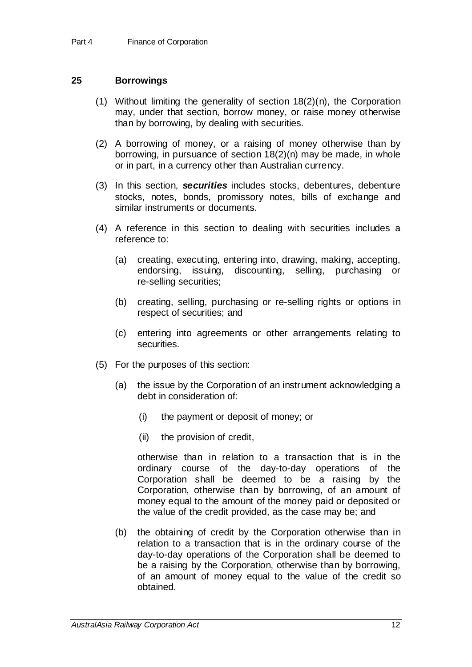## **25 Borrowings**

- (1) Without limiting the generality of section 18(2)(n), the Corporation may, under that section, borrow money, or raise money otherwise than by borrowing, by dealing with securities.
- (2) A borrowing of money, or a raising of money otherwise than by borrowing, in pursuance of section 18(2)(n) may be made, in whole or in part, in a currency other than Australian currency.
- (3) In this section, *securities* includes stocks, debentures, debenture stocks, notes, bonds, promissory notes, bills of exchange and similar instruments or documents.
- (4) A reference in this section to dealing with securities includes a reference to:
	- (a) creating, executing, entering into, drawing, making, accepting, endorsing, issuing, discounting, selling, purchasing or re-selling securities;
	- (b) creating, selling, purchasing or re-selling rights or options in respect of securities; and
	- (c) entering into agreements or other arrangements relating to securities.
- (5) For the purposes of this section:
	- (a) the issue by the Corporation of an instrument acknowledging a debt in consideration of:
		- (i) the payment or deposit of money; or
		- (ii) the provision of credit,

otherwise than in relation to a transaction that is in the ordinary course of the day-to-day operations of the Corporation shall be deemed to be a raising by the Corporation, otherwise than by borrowing, of an amount of money equal to the amount of the money paid or deposited or the value of the credit provided, as the case may be; and

(b) the obtaining of credit by the Corporation otherwise than in relation to a transaction that is in the ordinary course of the day-to-day operations of the Corporation shall be deemed to be a raising by the Corporation, otherwise than by borrowing, of an amount of money equal to the value of the credit so obtained.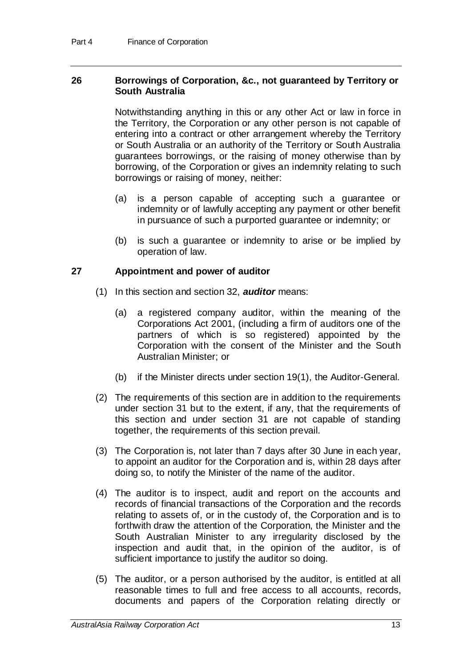#### **26 Borrowings of Corporation, &c., not guaranteed by Territory or South Australia**

Notwithstanding anything in this or any other Act or law in force in the Territory, the Corporation or any other person is not capable of entering into a contract or other arrangement whereby the Territory or South Australia or an authority of the Territory or South Australia guarantees borrowings, or the raising of money otherwise than by borrowing, of the Corporation or gives an indemnity relating to such borrowings or raising of money, neither:

- (a) is a person capable of accepting such a guarantee or indemnity or of lawfully accepting any payment or other benefit in pursuance of such a purported guarantee or indemnity; or
- (b) is such a guarantee or indemnity to arise or be implied by operation of law.

## **27 Appointment and power of auditor**

- (1) In this section and section 32, *auditor* means:
	- (a) a registered company auditor, within the meaning of the Corporations Act 2001, (including a firm of auditors one of the partners of which is so registered) appointed by the Corporation with the consent of the Minister and the South Australian Minister; or
	- (b) if the Minister directs under section 19(1), the Auditor-General.
- (2) The requirements of this section are in addition to the requirements under section 31 but to the extent, if any, that the requirements of this section and under section 31 are not capable of standing together, the requirements of this section prevail.
- (3) The Corporation is, not later than 7 days after 30 June in each year, to appoint an auditor for the Corporation and is, within 28 days after doing so, to notify the Minister of the name of the auditor.
- (4) The auditor is to inspect, audit and report on the accounts and records of financial transactions of the Corporation and the records relating to assets of, or in the custody of, the Corporation and is to forthwith draw the attention of the Corporation, the Minister and the South Australian Minister to any irregularity disclosed by the inspection and audit that, in the opinion of the auditor, is of sufficient importance to justify the auditor so doing.
- (5) The auditor, or a person authorised by the auditor, is entitled at all reasonable times to full and free access to all accounts, records, documents and papers of the Corporation relating directly or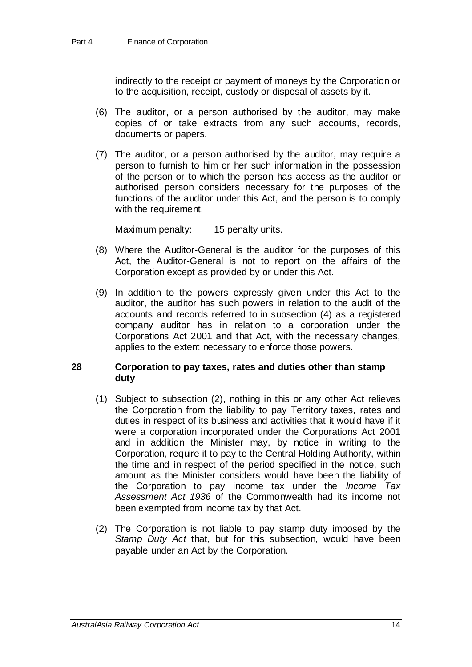indirectly to the receipt or payment of moneys by the Corporation or to the acquisition, receipt, custody or disposal of assets by it.

- (6) The auditor, or a person authorised by the auditor, may make copies of or take extracts from any such accounts, records, documents or papers.
- (7) The auditor, or a person authorised by the auditor, may require a person to furnish to him or her such information in the possession of the person or to which the person has access as the auditor or authorised person considers necessary for the purposes of the functions of the auditor under this Act, and the person is to comply with the requirement.

Maximum penalty: 15 penalty units.

- (8) Where the Auditor-General is the auditor for the purposes of this Act, the Auditor-General is not to report on the affairs of the Corporation except as provided by or under this Act.
- (9) In addition to the powers expressly given under this Act to the auditor, the auditor has such powers in relation to the audit of the accounts and records referred to in subsection (4) as a registered company auditor has in relation to a corporation under the Corporations Act 2001 and that Act, with the necessary changes, applies to the extent necessary to enforce those powers.

#### **28 Corporation to pay taxes, rates and duties other than stamp duty**

- (1) Subject to subsection (2), nothing in this or any other Act relieves the Corporation from the liability to pay Territory taxes, rates and duties in respect of its business and activities that it would have if it were a corporation incorporated under the Corporations Act 2001 and in addition the Minister may, by notice in writing to the Corporation, require it to pay to the Central Holding Authority, within the time and in respect of the period specified in the notice, such amount as the Minister considers would have been the liability of the Corporation to pay income tax under the *Income Tax Assessment Act 1936* of the Commonwealth had its income not been exempted from income tax by that Act.
- (2) The Corporation is not liable to pay stamp duty imposed by the *Stamp Duty Act* that, but for this subsection, would have been payable under an Act by the Corporation.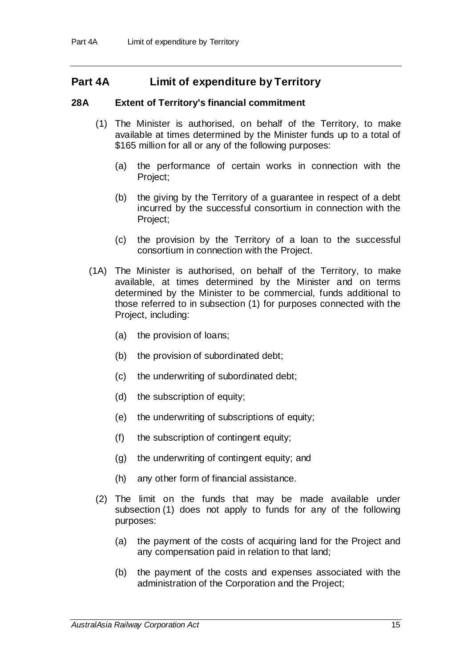# **Part 4A Limit of expenditure by Territory**

## **28A Extent of Territory's financial commitment**

- (1) The Minister is authorised, on behalf of the Territory, to make available at times determined by the Minister funds up to a total of \$165 million for all or any of the following purposes:
	- (a) the performance of certain works in connection with the Project;
	- (b) the giving by the Territory of a guarantee in respect of a debt incurred by the successful consortium in connection with the Project;
	- (c) the provision by the Territory of a loan to the successful consortium in connection with the Project.
- (1A) The Minister is authorised, on behalf of the Territory, to make available, at times determined by the Minister and on terms determined by the Minister to be commercial, funds additional to those referred to in subsection (1) for purposes connected with the Project, including:
	- (a) the provision of loans;
	- (b) the provision of subordinated debt;
	- (c) the underwriting of subordinated debt;
	- (d) the subscription of equity;
	- (e) the underwriting of subscriptions of equity;
	- (f) the subscription of contingent equity;
	- (g) the underwriting of contingent equity; and
	- (h) any other form of financial assistance.
	- (2) The limit on the funds that may be made available under subsection (1) does not apply to funds for any of the following purposes:
		- (a) the payment of the costs of acquiring land for the Project and any compensation paid in relation to that land;
		- (b) the payment of the costs and expenses associated with the administration of the Corporation and the Project;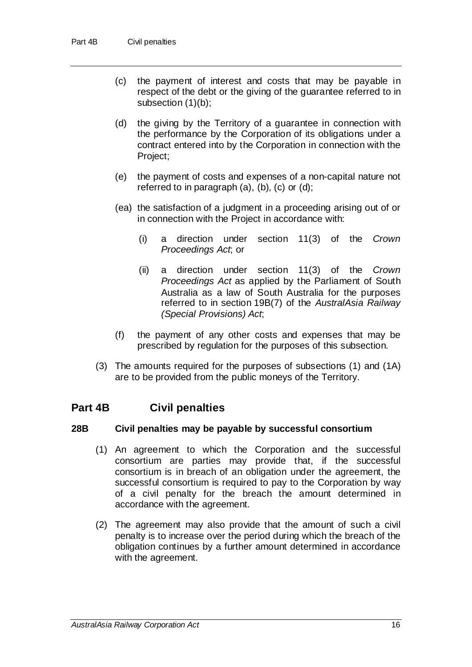- (c) the payment of interest and costs that may be payable in respect of the debt or the giving of the guarantee referred to in subsection (1)(b);
- (d) the giving by the Territory of a guarantee in connection with the performance by the Corporation of its obligations under a contract entered into by the Corporation in connection with the Project;
- (e) the payment of costs and expenses of a non-capital nature not referred to in paragraph (a), (b), (c) or (d);
- (ea) the satisfaction of a judgment in a proceeding arising out of or in connection with the Project in accordance with:
	- (i) a direction under section 11(3) of the *Crown Proceedings Act*; or
	- (ii) a direction under section 11(3) of the *Crown Proceedings Act* as applied by the Parliament of South Australia as a law of South Australia for the purposes referred to in section 19B(7) of the *AustralAsia Railway (Special Provisions) Act*;
- (f) the payment of any other costs and expenses that may be prescribed by regulation for the purposes of this subsection.
- (3) The amounts required for the purposes of subsections (1) and (1A) are to be provided from the public moneys of the Territory.

# **Part 4B Civil penalties**

## **28B Civil penalties may be payable by successful consortium**

- (1) An agreement to which the Corporation and the successful consortium are parties may provide that, if the successful consortium is in breach of an obligation under the agreement, the successful consortium is required to pay to the Corporation by way of a civil penalty for the breach the amount determined in accordance with the agreement.
- (2) The agreement may also provide that the amount of such a civil penalty is to increase over the period during which the breach of the obligation continues by a further amount determined in accordance with the agreement.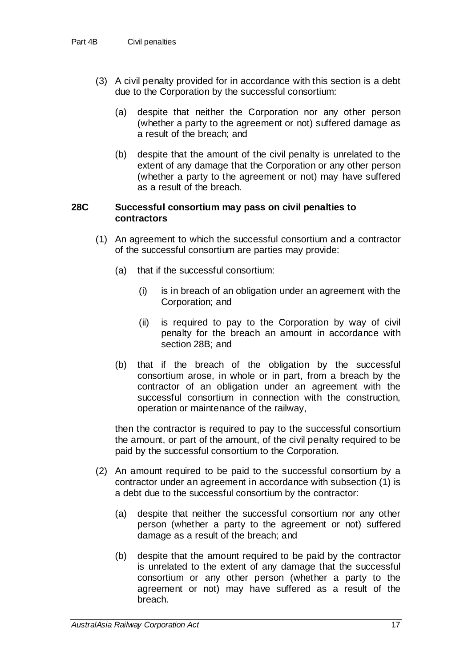- (3) A civil penalty provided for in accordance with this section is a debt due to the Corporation by the successful consortium:
	- (a) despite that neither the Corporation nor any other person (whether a party to the agreement or not) suffered damage as a result of the breach; and
	- (b) despite that the amount of the civil penalty is unrelated to the extent of any damage that the Corporation or any other person (whether a party to the agreement or not) may have suffered as a result of the breach.

#### **28C Successful consortium may pass on civil penalties to contractors**

- (1) An agreement to which the successful consortium and a contractor of the successful consortium are parties may provide:
	- (a) that if the successful consortium:
		- (i) is in breach of an obligation under an agreement with the Corporation; and
		- (ii) is required to pay to the Corporation by way of civil penalty for the breach an amount in accordance with section 28B; and
	- (b) that if the breach of the obligation by the successful consortium arose, in whole or in part, from a breach by the contractor of an obligation under an agreement with the successful consortium in connection with the construction, operation or maintenance of the railway,

then the contractor is required to pay to the successful consortium the amount, or part of the amount, of the civil penalty required to be paid by the successful consortium to the Corporation.

- (2) An amount required to be paid to the successful consortium by a contractor under an agreement in accordance with subsection (1) is a debt due to the successful consortium by the contractor:
	- (a) despite that neither the successful consortium nor any other person (whether a party to the agreement or not) suffered damage as a result of the breach; and
	- (b) despite that the amount required to be paid by the contractor is unrelated to the extent of any damage that the successful consortium or any other person (whether a party to the agreement or not) may have suffered as a result of the breach.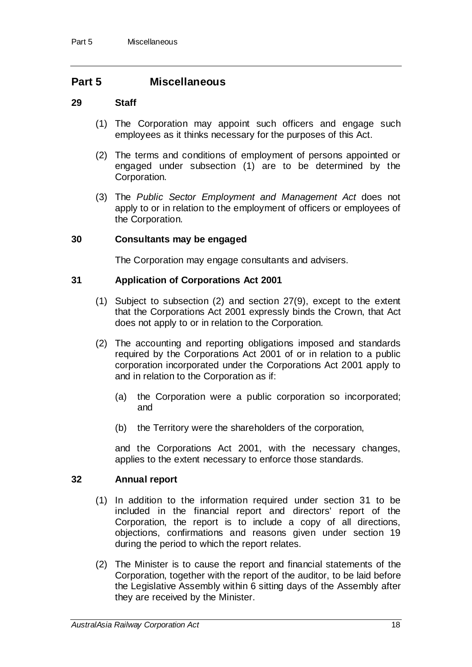# **Part 5 Miscellaneous**

#### **29 Staff**

- (1) The Corporation may appoint such officers and engage such employees as it thinks necessary for the purposes of this Act.
- (2) The terms and conditions of employment of persons appointed or engaged under subsection (1) are to be determined by the Corporation.
- (3) The *Public Sector Employment and Management Act* does not apply to or in relation to the employment of officers or employees of the Corporation.

#### **30 Consultants may be engaged**

The Corporation may engage consultants and advisers.

## **31 Application of Corporations Act 2001**

- (1) Subject to subsection (2) and section 27(9), except to the extent that the Corporations Act 2001 expressly binds the Crown, that Act does not apply to or in relation to the Corporation.
- (2) The accounting and reporting obligations imposed and standards required by the Corporations Act 2001 of or in relation to a public corporation incorporated under the Corporations Act 2001 apply to and in relation to the Corporation as if:
	- (a) the Corporation were a public corporation so incorporated; and
	- (b) the Territory were the shareholders of the corporation,

and the Corporations Act 2001, with the necessary changes, applies to the extent necessary to enforce those standards.

## **32 Annual report**

- (1) In addition to the information required under section 31 to be included in the financial report and directors' report of the Corporation, the report is to include a copy of all directions, objections, confirmations and reasons given under section 19 during the period to which the report relates.
- (2) The Minister is to cause the report and financial statements of the Corporation, together with the report of the auditor, to be laid before the Legislative Assembly within 6 sitting days of the Assembly after they are received by the Minister.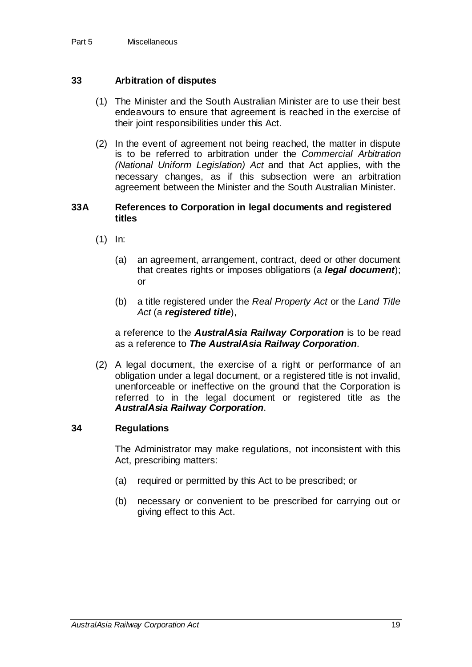## **33 Arbitration of disputes**

- (1) The Minister and the South Australian Minister are to use their best endeavours to ensure that agreement is reached in the exercise of their joint responsibilities under this Act.
- (2) In the event of agreement not being reached, the matter in dispute is to be referred to arbitration under the *Commercial Arbitration (National Uniform Legislation) Act* and that Act applies, with the necessary changes, as if this subsection were an arbitration agreement between the Minister and the South Australian Minister.

#### **33A References to Corporation in legal documents and registered titles**

- (1) In:
	- (a) an agreement, arrangement, contract, deed or other document that creates rights or imposes obligations (a *legal document*); or
	- (b) a title registered under the *Real Property Act* or the *Land Title Act* (a *registered title*),

a reference to the *AustralAsia Railway Corporation* is to be read as a reference to *The AustralAsia Railway Corporation*.

(2) A legal document, the exercise of a right or performance of an obligation under a legal document, or a registered title is not invalid, unenforceable or ineffective on the ground that the Corporation is referred to in the legal document or registered title as the *AustralAsia Railway Corporation*.

#### **34 Regulations**

The Administrator may make regulations, not inconsistent with this Act, prescribing matters:

- (a) required or permitted by this Act to be prescribed; or
- (b) necessary or convenient to be prescribed for carrying out or giving effect to this Act.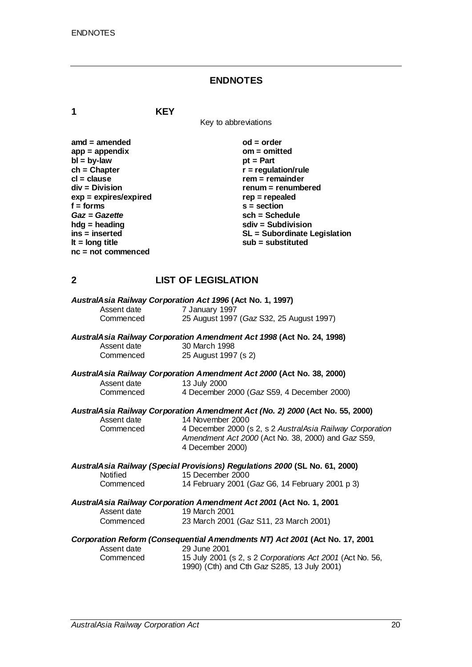# **ENDNOTES**

**1 KEY**

Key to abbreviations

| $amd = amended$         | $od = order$                 |
|-------------------------|------------------------------|
| $app = appendix$        | om = omitted                 |
| $bl = by-law$           | $pt = Part$                  |
| $ch = Chapter$          | $r =$ regulation/rule        |
| $cl = clause$           | $rem = remainder$            |
| $div = Division$        | renum = renumbered           |
| $exp = expires/expired$ | $rep = repeated$             |
| $f =$ forms             | $s = section$                |
| Gaz = Gazette           | $sch = Schedule$             |
| $h dq =$ heading        | $sdiv = Subdivision$         |
| $ins = inserted$        | SL = Subordinate Legislation |
| It = $long$ title       | $sub =$ substituted          |
| $nc = not commenced$    |                              |

# **2 LIST OF LEGISLATION**

|             | AustralAsia Railway Corporation Act 1996 (Act No. 1, 1997)                                                                          |
|-------------|-------------------------------------------------------------------------------------------------------------------------------------|
| Assent date | 7 January 1997                                                                                                                      |
| Commenced   | 25 August 1997 (Gaz S32, 25 August 1997)                                                                                            |
|             | AustralAsia Railway Corporation Amendment Act 1998 (Act No. 24, 1998)                                                               |
| Assent date | 30 March 1998                                                                                                                       |
| Commenced   | 25 August 1997 (s 2)                                                                                                                |
|             | AustralAsia Railway Corporation Amendment Act 2000 (Act No. 38, 2000)                                                               |
| Assent date | 13 July 2000                                                                                                                        |
| Commenced   | 4 December 2000 (Gaz S59, 4 December 2000)                                                                                          |
|             | AustralAsia Railway Corporation Amendment Act (No. 2) 2000 (Act No. 55, 2000)                                                       |
| Assent date | 14 November 2000                                                                                                                    |
| Commenced   | 4 December 2000 (s 2, s 2 AustralAsia Railway Corporation<br>Amendment Act 2000 (Act No. 38, 2000) and Gaz S59,<br>4 December 2000) |
|             | AustralAsia Railway (Special Provisions) Regulations 2000 (SL No. 61, 2000)                                                         |
| Notified    | 15 December 2000                                                                                                                    |
| Commenced   | 14 February 2001 (Gaz G6, 14 February 2001 p 3)                                                                                     |
|             | AustralAsia Railway Corporation Amendment Act 2001 (Act No. 1, 2001                                                                 |
| Assent date | 19 March 2001                                                                                                                       |
| Commenced   | 23 March 2001 (Gaz S11, 23 March 2001)                                                                                              |
|             | Corporation Reform (Consequential Amendments NT) Act 2001 (Act No. 17, 2001                                                         |
| Assent date | 29 June 2001                                                                                                                        |
| Commenced   | 15 July 2001 (s 2, s 2 Corporations Act 2001 (Act No. 56,<br>1990) (Cth) and Cth Gaz S285, 13 July 2001)                            |